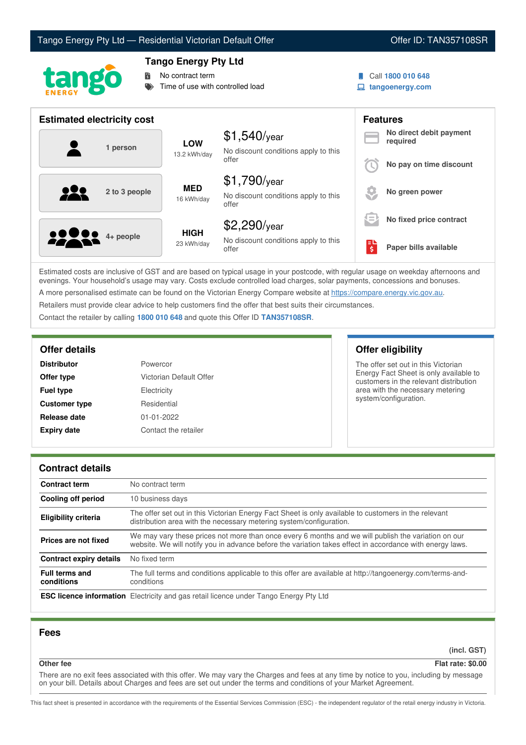## Tango Energy Pty Ltd — Residential Victorian Default Offer **Communist Communist Communist Communist Communist Communist Communist Communist Communist Communist Communist Communist Communist Communist Communist Communist Co**





## **Tango Energy Pty Ltd**

**No contract term** 

Time of use with controlled load

- Call **1800 010 648**
- **tangoenergy.com**

| <b>Estimated electricity cost</b> |                            |                                                                 |          | <b>Features</b>                     |  |
|-----------------------------------|----------------------------|-----------------------------------------------------------------|----------|-------------------------------------|--|
| 1 person                          | <b>LOW</b><br>13.2 kWh/day | $$1,540$ /year<br>No discount conditions apply to this          |          | No direct debit payment<br>required |  |
|                                   |                            | offer                                                           |          | No pay on time discount             |  |
| 2 to 3 people                     | <b>MED</b><br>16 kWh/day   | $$1,790$ /year<br>No discount conditions apply to this<br>offer |          | No green power                      |  |
|                                   |                            | \$2,290/year                                                    | $\equiv$ | No fixed price contract             |  |
| <b>10000</b> 4+ people            | <b>HIGH</b><br>23 kWh/day  | No discount conditions apply to this<br>offer                   | \$       | Paper bills available               |  |

Estimated costs are inclusive of GST and are based on typical usage in your postcode, with regular usage on weekday afternoons and evenings. Your household's usage may vary. Costs exclude controlled load charges, solar payments, concessions and bonuses. A more personalised estimate can be found on the Victorian Energy Compare website at <https://compare.energy.vic.gov.au>.

Retailers must provide clear advice to help customers find the offer that best suits their circumstances.

Contact the retailer by calling **1800 010 648** and quote this Offer ID **TAN357108SR**.

| <b>Distributor</b>   | Powercor                |
|----------------------|-------------------------|
| Offer type           | Victorian Default Offer |
| <b>Fuel type</b>     | Electricity             |
| <b>Customer type</b> | Residential             |
| Release date         | $01 - 01 - 2022$        |
| <b>Expiry date</b>   | Contact the retailer    |

## **Offer details Offer eligibility**

The offer set out in this Victorian Energy Fact Sheet is only available to customers in the relevant distribution area with the necessary metering system/configuration.

#### **Contract details**

| <b>Contract term</b>                | No contract term                                                                                                                                                                                                |  |
|-------------------------------------|-----------------------------------------------------------------------------------------------------------------------------------------------------------------------------------------------------------------|--|
| Cooling off period                  | 10 business days                                                                                                                                                                                                |  |
| <b>Eligibility criteria</b>         | The offer set out in this Victorian Energy Fact Sheet is only available to customers in the relevant<br>distribution area with the necessary metering system/configuration.                                     |  |
| Prices are not fixed                | We may vary these prices not more than once every 6 months and we will publish the variation on our<br>website. We will notify you in advance before the variation takes effect in accordance with energy laws. |  |
| Contract expiry details             | No fixed term                                                                                                                                                                                                   |  |
| <b>Full terms and</b><br>conditions | The full terms and conditions applicable to this offer are available at http://tangoenergy.com/terms-and-<br>conditions                                                                                         |  |
|                                     | <b>ESC licence information</b> Electricity and gas retail licence under Tango Energy Pty Ltd                                                                                                                    |  |

#### **Fees**

**(incl. GST)**

## **Other fee Flat rate: \$0.00**

There are no exit fees associated with this offer. We may vary the Charges and fees at any time by notice to you, including by message on your bill. Details about Charges and fees are set out under the terms and conditions of your Market Agreement.

This fact sheet is presented in accordance with the requirements of the Essential Services Commission (ESC) - the independent regulator of the retail energy industry in Victoria.